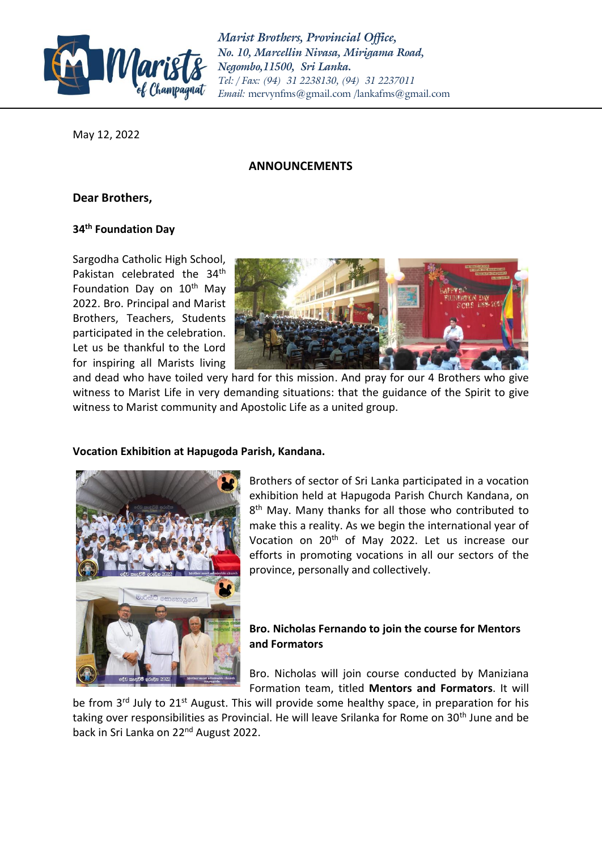

*Marist Brothers, Provincial Office, No. 10, Marcellin Nivasa, Mirigama Road, Negombo,11500, Sri Lanka. Tel: / Fax: (94) 31 2238130, (94) 31 2237011 Email:* [mervynfms@gmail.com](mailto:mervynfms@gmail.com) /lankafms@gmail.com

May 12, 2022

### **ANNOUNCEMENTS**

# **Dear Brothers,**

### **34th Foundation Day**

Sargodha Catholic High School, Pakistan celebrated the 34<sup>th</sup> Foundation Day on  $10<sup>th</sup>$  May 2022. Bro. Principal and Marist Brothers, Teachers, Students participated in the celebration. Let us be thankful to the Lord for inspiring all Marists living



and dead who have toiled very hard for this mission. And pray for our 4 Brothers who give witness to Marist Life in very demanding situations: that the guidance of the Spirit to give witness to Marist community and Apostolic Life as a united group.

### **Vocation Exhibition at Hapugoda Parish, Kandana.**



Brothers of sector of Sri Lanka participated in a vocation exhibition held at Hapugoda Parish Church Kandana, on 8<sup>th</sup> May. Many thanks for all those who contributed to make this a reality. As we begin the international year of Vocation on 20<sup>th</sup> of May 2022. Let us increase our efforts in promoting vocations in all our sectors of the province, personally and collectively.

## **Bro. Nicholas Fernando to join the course for Mentors and Formators**

Bro. Nicholas will join course conducted by Maniziana Formation team, titled **Mentors and Formators**. It will

be from 3<sup>rd</sup> July to 21<sup>st</sup> August. This will provide some healthy space, in preparation for his taking over responsibilities as Provincial. He will leave Srilanka for Rome on 30<sup>th</sup> June and be back in Sri Lanka on 22nd August 2022.